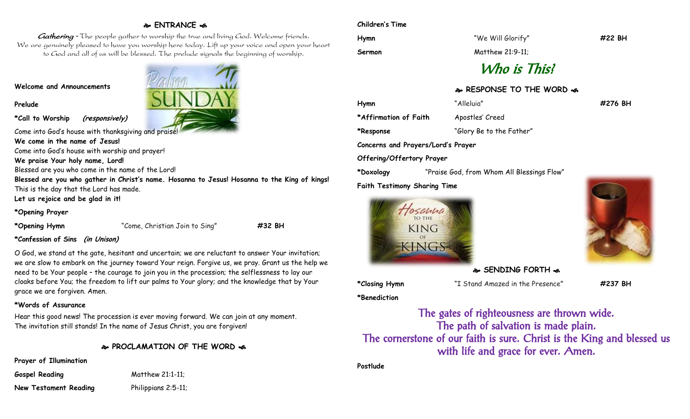## **ENTRANCE**

Gathering - The people gather to worship the true and living God. Welcome friends. We are genuinely pleased to have you worship here today. Lift up your voice and open your heart to God and all of us will be blessed. The prelude signals the beginning of worship.

#### **Welcome and Announcements**

**Prelude**

**\*Call to Worship (responsively)**

Come into God's house with thanksgiving and praise!

**We come in the name of Jesus!**

Come into God's house with worship and prayer!

**We praise Your holy name, Lord!**

Blessed are you who come in the name of the Lord!

**Blessed are you who gather in Christ's name. Hosanna to Jesus! Hosanna to the King of kings!** This is the day that the Lord has made.

**Let us rejoice and be glad in it!**

**\*Opening Prayer**

**\*Opening Hymn** "Come, Christian Join to Sing" **#32 BH**

#### **\*Confession of Sins (in Unison)**

O God, we stand at the gate, hesitant and uncertain; we are reluctant to answer Your invitation; we are slow to embark on the journey toward Your reign. Forgive us, we pray. Grant us the help we need to be Your people – the courage to join you in the procession; the selflessness to lay our cloaks before You; the freedom to lift our palms to Your glory; and the knowledge that by Your grace we are forgiven. Amen.

#### **\*Words of Assurance**

Hear this good news! The procession is ever moving forward. We can join at any moment. The invitation still stands! In the name of Jesus Christ, you are forgiven!

**PROCLAMATION OF THE WORD** 

**Prayer of Illumination**

**Gospel Reading** Matthew 21:1-11;

**New Testament Reading Philippians 2:5-11;** 



#### **Children's Time**

| Hymn  |
|-------|
| Sermo |

**Hymn** "We Will Glorify" **#22 BH**

**Sermon** Matthew 21:9-11;

# Who is This?

## **RESPONSE TO THE WORD**

**Hymn** "Alleluia" **#276 BH \*Affirmation of Faith** Apostles' Creed **\*Response** "Glory Be to the Father" **Concerns and Prayers/Lord's Prayer Offering/Offertory Prayer**

**\*Doxology** "Praise God, from Whom All Blessings Flow" **Faith Testimony Sharing Time**





**SENDING FORTH &** 

**\*Closing Hymn** "I Stand Amazed in the Presence" **#237 BH**

**\*Benediction**

The gates of righteousness are thrown wide. The path of salvation is made plain. The cornerstone of our faith is sure. Christ is the King and blessed us with life and grace for ever. Amen.

**Postlude**